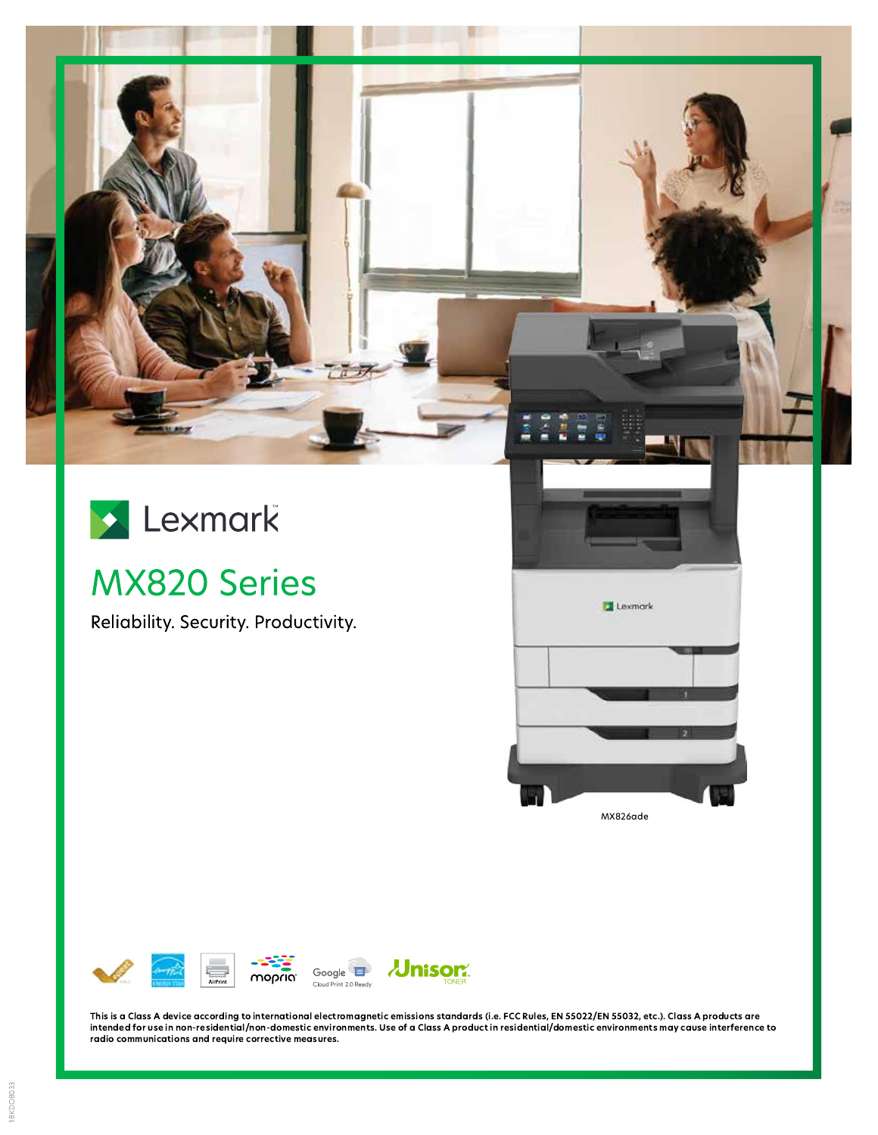

# **MX820 Series**

Reliability. Security. Productivity.





This is a Class A device according to international electromagnetic emissions standards (i.e. FCC Rules, EN 55022/EN 55032, etc.). Class A products are intended for use in non-residential/non-domestic environments. Use of a Class A product in residential/domestic environments may cause interference to radio communications and require corrective measures.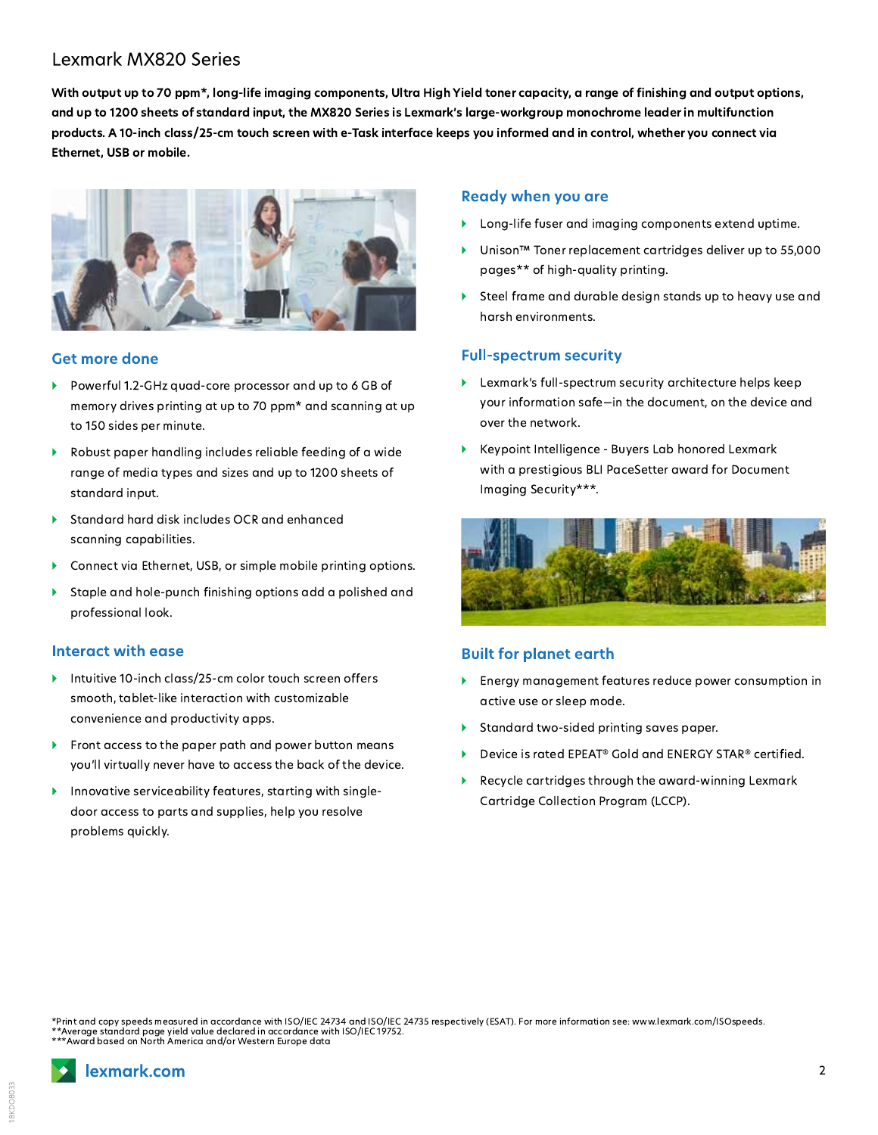## **Lexmark MX820 Series**

With output up to 70 ppm\*, long-life imaging components, Ultra High Yield toner capacity, a range of finishing and output options, and up to 1200 sheets of standard input, the MX820 Series is Lexmark's large-workgroup monochrome leader in multifunction products. A 10-inch class/25-cm touch screen with e-Task interface keeps you informed and in control, whether you connect via Ethernet, USB or mobile.



#### **Get more done**

- Powerful 1.2-GHz quad-core processor and up to 6 GB of memory drives printing at up to 70 ppm\* and scanning at up to 150 sides per minute.
- Robust paper handling includes reliable feeding of a wide range of media types and sizes and up to 1200 sheets of standard input.
- Standard hard disk includes OCR and enhanced scanning capabilities.
- Connect via Ethernet, USB, or simple mobile printing options.
- Staple and hole-punch finishing options add a polished and professional look.

#### Interact with ease

- Intuitive 10-inch class/25-cm color touch screen offers smooth, tablet-like interaction with customizable convenience and productivity apps.
- Front access to the paper path and power button means you'll virtually never have to access the back of the device.
- Innovative serviceability features, starting with single- $\blacktriangleright$ door access to parts and supplies, help you resolve problems quickly.

#### **Ready when you are**

- Long-life fuser and imaging components extend uptime.
- Unison<sup>™</sup> Toner replacement cartridges deliver up to 55,000 pages\*\* of high-quality printing.
- Steel frame and durable design stands up to heavy use and harsh environments.

#### **Full-spectrum security**

- Lexmark's full-spectrum security architecture helps keep your information safe-in the document, on the device and over the network.
- Keypoint Intelligence Buyers Lab honored Lexmark with a prestigious BLI PaceSetter award for Document Imaging Security\*\*\*.



#### **Built for planet earth**

- Energy management features reduce power consumption in active use or sleep mode.
- Standard two-sided printing saves paper.
- Device is rated EPEAT® Gold and ENERGY STAR® certified.
- Recycle cartridges through the award-winning Lexmark ь Cartridge Collection Program (LCCP).

Print and copy speeds measured in accordance with ISO/IEC 24734 and ISO/IEC 24735 respectively (ESAT). For more information see: www.lexmark.com/ISOspeeds. \*\*Average standard page yield value declared in accordance with ISO/IEC 19752.<br>\*\*Average standard page yield value declared in accordance with ISO/IEC 19752.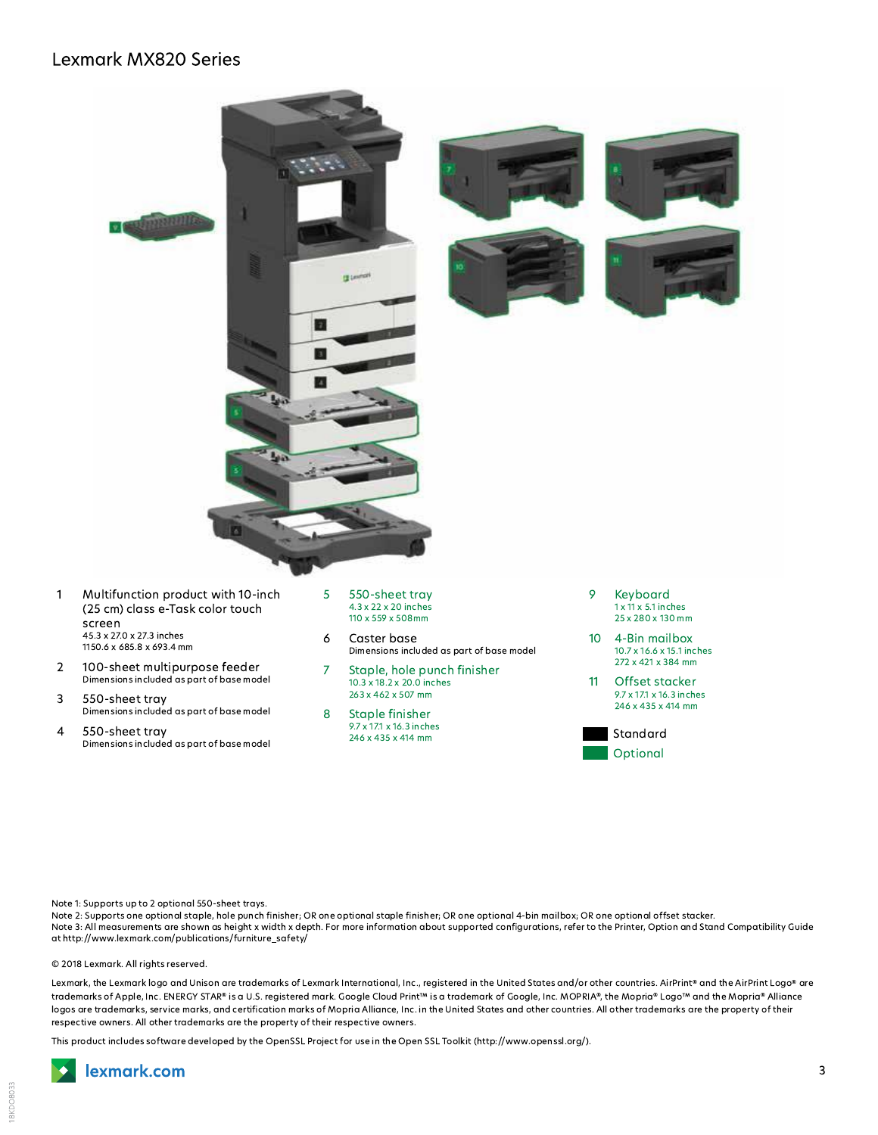### **Lexmark MX820 Series**



- Multifunction product with 10-inch  $\mathbf{1}$ (25 cm) class e-Task color touch screen 45.3 x 27.0 x 27.3 inches 1150.6 x 685.8 x 693.4 mm
- 100-sheet multipurpose feeder  $\overline{2}$ Dimensions included as part of base model
- 3 550-sheet tray Dimensions included as part of base model
- 4 550-sheet tray Dimensions included as part of base model
- 5 550-sheet trav 4.3 x 22 x 20 inches 110 x 559 x 508mm
- $\boldsymbol{6}$ Caster base Dimensions included as part of base model
- $\overline{7}$ Staple, hole punch finisher  $10.3 \times 18.2 \times 20.0$  inches<br> $263 \times 462 \times 507$  mm
- Staple finisher  $\mathsf{R}$ 9.7 x 17.1 x 16.3 inches 246 x 435 x 414 mm
- 9 Kevboard  $1 \times 11 \times 5.1$  inches 25 x 280 x 130 mm
- $10<sup>°</sup>$ 4-Bin mailbox 10.7 x 16.6 x 15.1 inches 272 x 421 x 384 mm
- Offset stacker  $11$ 9.7 x 17.1 x 16.3 inches 246 x 435 x 414 mm



Note 1: Supports up to 2 optional 550-sheet trays.

Note 2: Supports one optional staple, hole punch finisher, OR one optional staple finisher, OR one optional 4-bin mailbox, OR one optional offset stacker. Note 3: All measurements are shown as height x width x depth. For more information about supported configurations, refer to the Printer, Option and Stand Compatibility Guide at http://www.lexmark.com/publications/furniture\_safety/

© 2018 Lexmark. All rights reserved.

Lexmark, the Lexmark logo and Unison are trademarks of Lexmark International, Inc., registered in the United States and/or other countries. AirPrint® and the AirPrint Logo® are trademarks of Apple, Inc. ENERGY STAR® is a U.S. registered mark. Google Cloud Print™ is a trademark of Google, Inc. MOPRIA®, the Mopria® Logo™ and the Mopria® Alliance logos are trademarks, service marks, and certification marks of Mopria Alliance, Inc. in the United States and other countries. All other trademarks are the property of their respective owners. All other trademarks are the property of their respective owners.

This product includes software developed by the OpenSSL Project for use in the Open SSL Toolkit (http://www.openssl.org/).